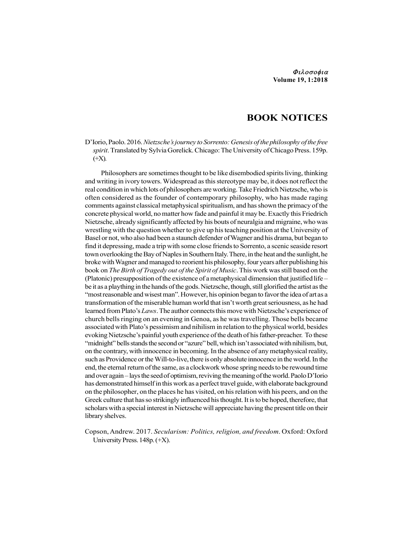# BOOK NOTICES

D'Iorio, Paolo. 2016. Nietzsche's journey to Sorrento: Genesis of the philosophy of the free spirit. Translated by Sylvia Gorelick. Chicago: The University of Chicago Press. 159p.  $(+X)$ .

Philosophers are sometimes thought to be like disembodied spirits living, thinking and writing in ivory towers. Widespread as this stereotype may be, it does not reflect the real condition in which lots of philosophers are working. Take Friedrich Nietzsche, who is often considered as the founder of contemporary philosophy, who has made raging comments against classical metaphysical spiritualism, and has shown the primacy of the concrete physical world, no matter how fade and painful it may be. Exactly this Friedrich Nietzsche, already significantly affected by his bouts of neuralgia and migraine, who was wrestling with the question whether to give up his teaching position at the University of Basel or not, who also had been a staunch defender of Wagner and his drama, but began to find it depressing, made a trip with some close friends to Sorrento, a scenic seaside resort town overlooking the Bay of Naples in Southern Italy. There, in the heat and the sunlight, he broke with Wagner and managed to reorient his philosophy, four years after publishing his book on The Birth of Tragedy out of the Spirit of Music. This work was still based on the (Platonic) presupposition of the existence of a metaphysical dimension that justified life – be it as a plaything in the hands of the gods. Nietzsche, though, still glorified the artist as the "most reasonable and wisest man". However, his opinion began to favor the idea of art as a transformation of the miserable human world that isn't worth great seriousness, as he had learned from Plato's Laws. The author connects this move with Nietzsche's experience of church bells ringing on an evening in Genoa, as he was travelling. Those bells became associated with Plato's pessimism and nihilism in relation to the physical world, besides evoking Nietzsche's painful youth experience of the death of his father-preacher. To these "midnight" bells stands the second or "azure" bell, which isn't associated with nihilism, but, on the contrary, with innocence in becoming. In the absence of any metaphysical reality, such as Providence or the Will-to-live, there is only absolute innocence in the world. In the end, the eternal return of the same, as a clockwork whose spring needs to be rewound time and over again – lays the seed of optimism, reviving the meaning of the world. Paolo D'Iorio has demonstrated himself in this work as a perfect travel guide, with elaborate background on the philosopher, on the places he has visited, on his relation with his peers, and on the Greek culture that has so strikingly influenced his thought. It is to be hoped, therefore, that scholars with a special interest in Nietzsche will appreciate having the present title on their library shelves.

Copson, Andrew. 2017. Secularism: Politics, religion, and freedom. Oxford: Oxford University Press. 148p. (+X).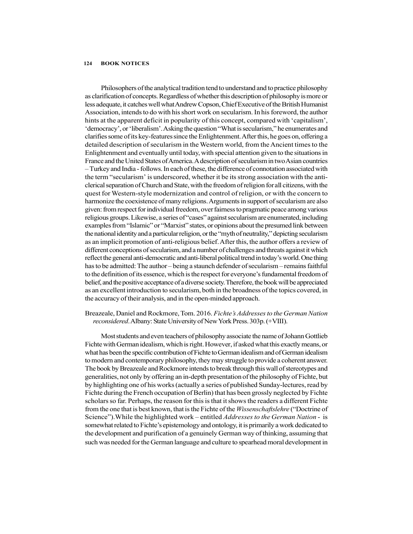#### 124 BOOK NOTICES

Philosophers of the analytical tradition tend to understand and to practice philosophy as clarification of concepts. Regardless of whether this description of philosophy is more or less adequate, it catches well what Andrew Copson, Chief Executive of the British Humanist Association, intends to do with his short work on secularism. In his foreword, the author hints at the apparent deficit in popularity of this concept, compared with 'capitalism', 'democracy', or 'liberalism'. Asking the question "What is secularism," he enumerates and clarifies some of its key-features since the Enlightenment. After this, he goes on, offering a detailed description of secularism in the Western world, from the Ancient times to the Enlightenment and eventually until today, with special attention given to the situations in France and the United States of America. A description of secularism in two Asian countries – Turkey and India - follows. In each of these, the difference of connotation associated with the term "secularism' is underscored, whether it be its strong association with the anticlerical separation of Church and State, with the freedom of religion for all citizens, with the quest for Western-style modernization and control of religion, or with the concern to harmonize the coexistence of many religions. Arguments in support of secularism are also given: from respect for individual freedom, over fairness to pragmatic peace among various religious groups. Likewise, a series of "cases" against secularism are enumerated, including examples from "Islamic" or "Marxist" states, or opinions about the presumed link between the national identity and a particular religion, or the "myth of neutrality," depicting secularism as an implicit promotion of anti-religious belief. After this, the author offers a review of different conceptions of secularism, and a number of challenges and threats against it which reflect the general anti-democratic and anti-liberal political trend in today's world. One thing has to be admitted: The author – being a staunch defender of secularism – remains faithful to the definition of its essence, which is the respect for everyone's fundamental freedom of belief, and the positive acceptance of a diverse society. Therefore, the book will be appreciated as an excellent introduction to secularism, both in the broadness of the topics covered, in the accuracy of their analysis, and in the open-minded approach.

#### Breazeale, Daniel and Rockmore, Tom. 2016. Fichte's Addresses to the German Nation reconsidered. Albany: State University of New York Press. 303p. (+VIII).

Most students and even teachers of philosophy associate the name of Johann Gottlieb Fichte with German idealism, which is right. However, if asked what this exactly means, or what has been the specific contribution of Fichte to German idealism and of German idealism to modern and contemporary philosophy, they may struggle to provide a coherent answer. The book by Breazeale and Rockmore intends to break through this wall of stereotypes and generalities, not only by offering an in-depth presentation of the philosophy of Fichte, but by highlighting one of his works (actually a series of published Sunday-lectures, read by Fichte during the French occupation of Berlin) that has been grossly neglected by Fichte scholars so far. Perhaps, the reason for this is that it shows the readers a different Fichte from the one that is best known, that is the Fichte of the *Wissenschaftslehre* ("Doctrine of Science"). While the highlighted work – entitled *Addresses to the German Nation* - is somewhat related to Fichte's epistemology and ontology, it is primarily a work dedicated to the development and purification of a genuinely German way of thinking, assuming that such was needed for the German language and culture to spearhead moral development in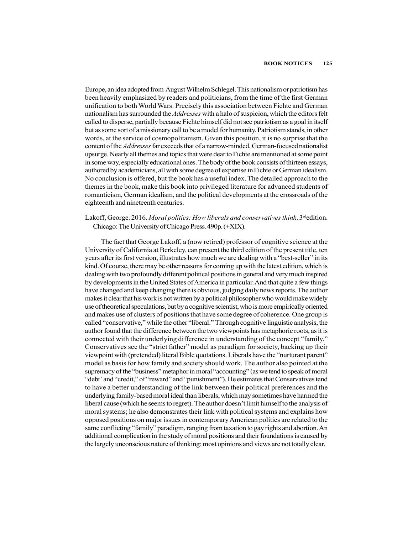Europe, an idea adopted from August Wilhelm Schlegel. This nationalism or patriotism has been heavily emphasized by readers and politicians, from the time of the first German unification to both World Wars. Precisely this association between Fichte and German nationalism has surrounded the *Addresses* with a halo of suspicion, which the editors felt called to disperse, partially because Fichte himself did not see patriotism as a goal in itself but as some sort of a missionary call to be a model for humanity. Patriotism stands, in other words, at the service of cosmopolitanism. Given this position, it is no surprise that the content of the *Addresses* far exceeds that of a narrow-minded, German-focused nationalist upsurge. Nearly all themes and topics that were dear to Fichte are mentioned at some point in some way, especially educational ones. The body of the book consists of thirteen essays, authored by academicians, all with some degree of expertise in Fichte or German idealism. No conclusion is offered, but the book has a useful index. The detailed approach to the themes in the book, make this book into privileged literature for advanced students of romanticism, German idealism, and the political developments at the crossroads of the eighteenth and nineteenth centuries.

### Lakoff, George. 2016. Moral politics: How liberals and conservatives think.  $3^{rd}$ edition. Chicago: The University of Chicago Press. 490p. (+XIX).

The fact that George Lakoff, a (now retired) professor of cognitive science at the University of California at Berkeley, can present the third edition of the present title, ten years after its first version, illustrates how much we are dealing with a "best-seller" in its kind. Of course, there may be other reasons for coming up with the latest edition, which is dealing with two profoundly different political positions in general and very much inspired by developments in the United States of America in particular. And that quite a few things have changed and keep changing there is obvious, judging daily news reports. The author makes it clear that his work is not written by a political philosopher who would make widely use of theoretical speculations, but by a cognitive scientist, who is more empirically oriented and makes use of clusters of positions that have some degree of coherence. One group is called "conservative," while the other "liberal." Through cognitive linguistic analysis, the author found that the difference between the two viewpoints has metaphoric roots, as it is connected with their underlying difference in understanding of the concept "family." Conservatives see the "strict father" model as paradigm for society, backing up their viewpoint with (pretended) literal Bible quotations. Liberals have the "nurturant parent" model as basis for how family and society should work. The author also pointed at the supremacy of the "business" metaphor in moral "accounting" (as we tend to speak of moral "debt' and "credit," of "reward" and "punishment"). He estimates that Conservatives tend to have a better understanding of the link between their political preferences and the underlying family-based moral ideal than liberals, which may sometimes have harmed the liberal cause (which he seems to regret). The author doesn't limit himself to the analysis of moral systems; he also demonstrates their link with political systems and explains how opposed positions on major issues in contemporary American politics are related to the same conflicting "family" paradigm, ranging from taxation to gay rights and abortion. An additional complication in the study of moral positions and their foundations is caused by the largely unconscious nature of thinking: most opinions and views are not totally clear,